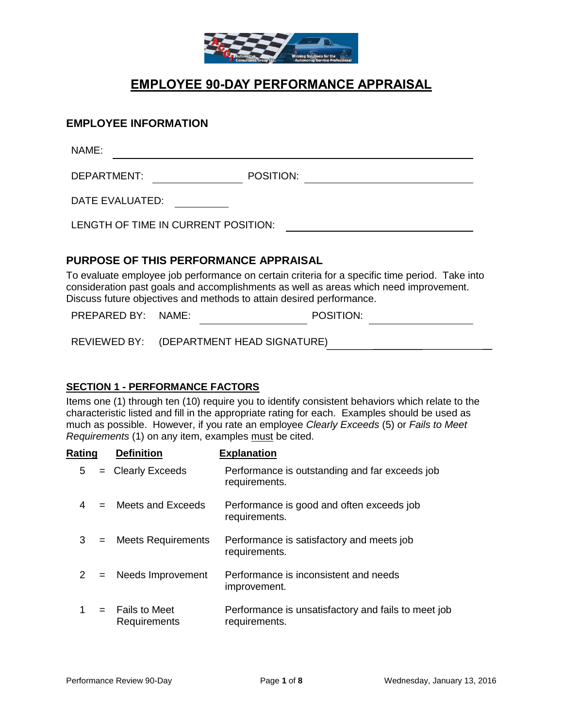

# **EMPLOYEE 90-DAY PERFORMANCE APPRAISAL**

### **EMPLOYEE INFORMATION**

NAME:

DEPARTMENT: POSITION:

DATE EVALUATED:

LENGTH OF TIME IN CURRENT POSITION:

### **PURPOSE OF THIS PERFORMANCE APPRAISAL**

To evaluate employee job performance on certain criteria for a specific time period. Take into consideration past goals and accomplishments as well as areas which need improvement. Discuss future objectives and methods to attain desired performance.

PREPARED BY: NAME: POSITION: POSITION:

REVIEWED BY: (DEPARTMENT HEAD SIGNATURE)

### **SECTION 1 - PERFORMANCE FACTORS**

Items one (1) through ten (10) require you to identify consistent behaviors which relate to the characteristic listed and fill in the appropriate rating for each. Examples should be used as much as possible. However, if you rate an employee *Clearly Exceeds* (5) or *Fails to Meet Requirements* (1) on any item, examples must be cited.

| <u>Rating</u> |     | <b>Definition</b>                 | <b>Explanation</b>                                                   |
|---------------|-----|-----------------------------------|----------------------------------------------------------------------|
| 5             |     | $=$ Clearly Exceeds               | Performance is outstanding and far exceeds job<br>requirements.      |
|               |     | $=$ Meets and Exceeds             | Performance is good and often exceeds job<br>requirements.           |
| 3             |     | = Meets Requirements              | Performance is satisfactory and meets job<br>requirements.           |
| 2             | $=$ | Needs Improvement                 | Performance is inconsistent and needs<br>improvement.                |
|               |     | $=$ Fails to Meet<br>Requirements | Performance is unsatisfactory and fails to meet job<br>requirements. |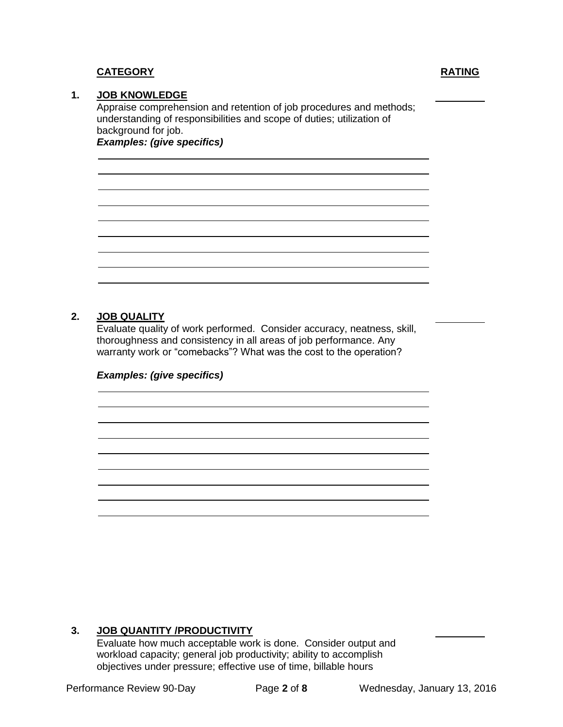## **CATEGORY RATING**

### **1. JOB KNOWLEDGE**

Appraise comprehension and retention of job procedures and methods; understanding of responsibilities and scope of duties; utilization of background for job. *Examples: (give specifics)*

**2. JOB QUALITY**

Evaluate quality of work performed. Consider accuracy, neatness, skill, thoroughness and consistency in all areas of job performance. Any warranty work or "comebacks"? What was the cost to the operation?

*Examples: (give specifics)*

### **3. JOB QUANTITY /PRODUCTIVITY**

Evaluate how much acceptable work is done. Consider output and workload capacity; general job productivity; ability to accomplish objectives under pressure; effective use of time, billable hours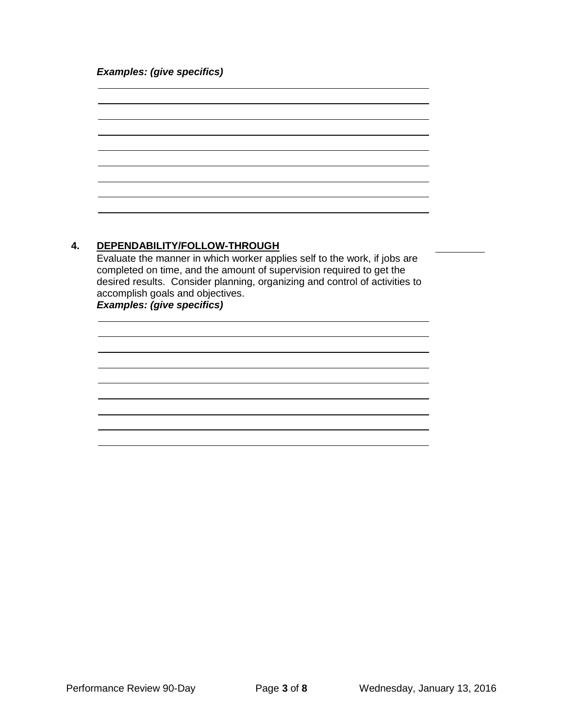### *Examples: (give specifics)*



### **4. DEPENDABILITY/FOLLOW-THROUGH**

Evaluate the manner in which worker applies self to the work, if jobs are completed on time, and the amount of supervision required to get the desired results. Consider planning, organizing and control of activities to accomplish goals and objectives. *Examples: (give specifics)*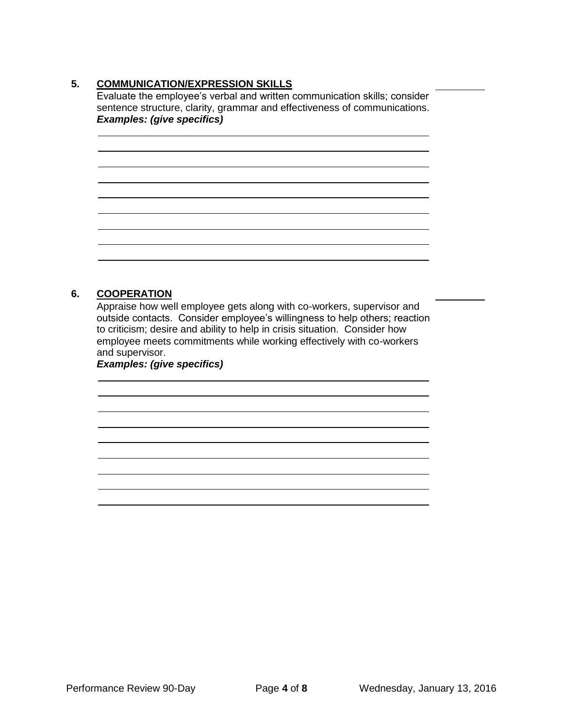### **5. COMMUNICATION/EXPRESSION SKILLS**

Evaluate the employee's verbal and written communication skills; consider sentence structure, clarity, grammar and effectiveness of communications. *Examples: (give specifics)*

### **6. COOPERATION**

Appraise how well employee gets along with co-workers, supervisor and outside contacts. Consider employee's willingness to help others; reaction to criticism; desire and ability to help in crisis situation. Consider how employee meets commitments while working effectively with co-workers and supervisor.

*Examples: (give specifics)*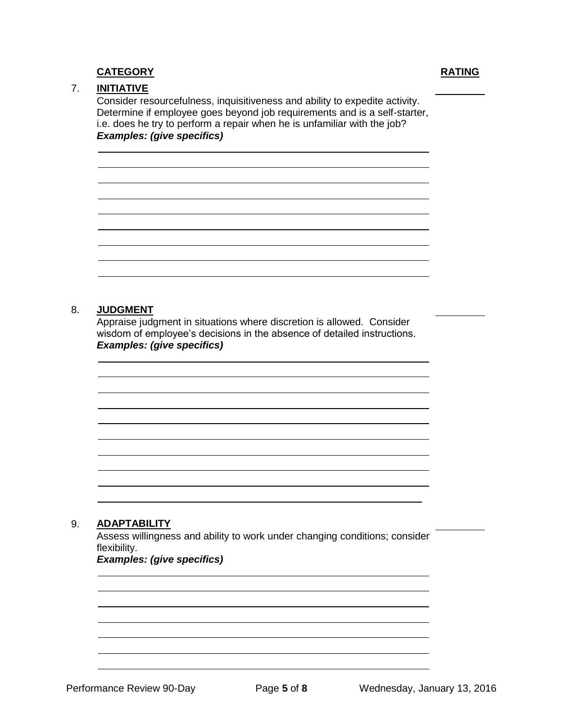### **CATEGORY RATING**

### 7. **INITIATIVE**

Consider resourcefulness, inquisitiveness and ability to expedite activity. Determine if employee goes beyond job requirements and is a self-starter, i.e. does he try to perform a repair when he is unfamiliar with the job? *Examples: (give specifics)*

### 8. **JUDGMENT**

Appraise judgment in situations where discretion is allowed. Consider wisdom of employee's decisions in the absence of detailed instructions. *Examples: (give specifics)*

### 9. **ADAPTABILITY**

Assess willingness and ability to work under changing conditions; consider flexibility.

### *Examples: (give specifics)*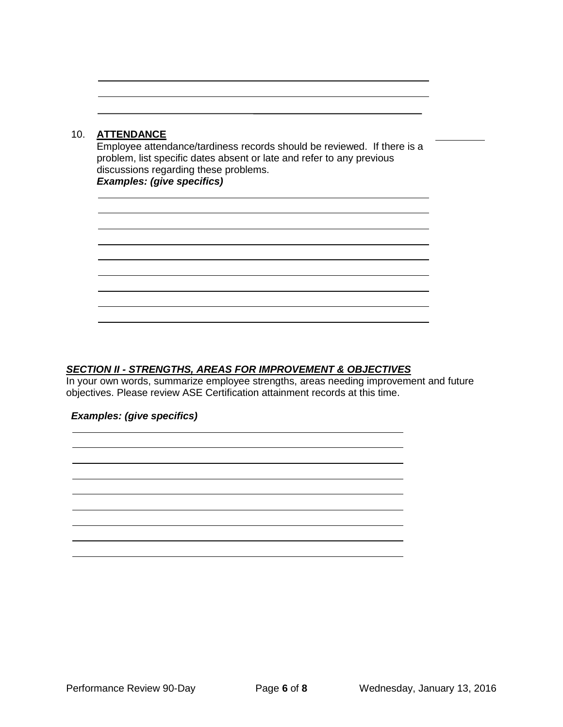### 10. **ATTENDANCE**

Employee attendance/tardiness records should be reviewed. If there is a problem, list specific dates absent or late and refer to any previous discussions regarding these problems. *Examples: (give specifics)*

### *SECTION II - STRENGTHS, AREAS FOR IMPROVEMENT & OBJECTIVES*

In your own words, summarize employee strengths, areas needing improvement and future objectives. Please review ASE Certification attainment records at this time.

### *Examples: (give specifics)*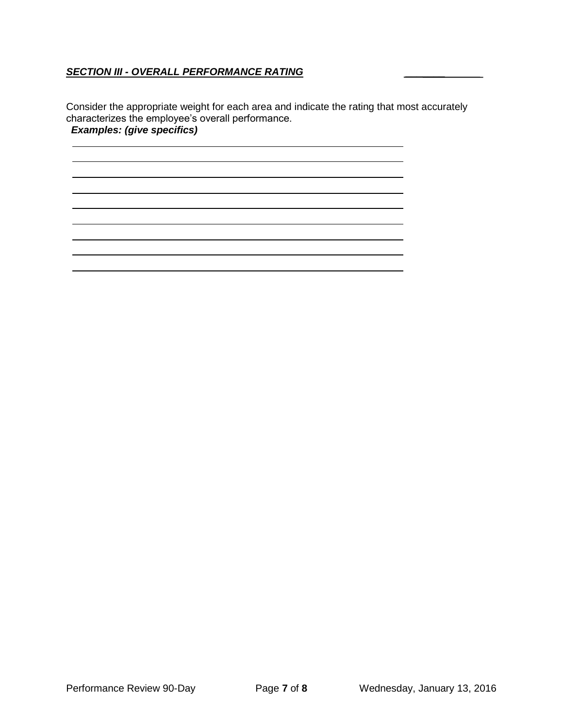### *SECTION III - OVERALL PERFORMANCE RATING* \_\_\_\_\_\_\_

Consider the appropriate weight for each area and indicate the rating that most accurately characterizes the employee's overall performance. *Examples: (give specifics)*